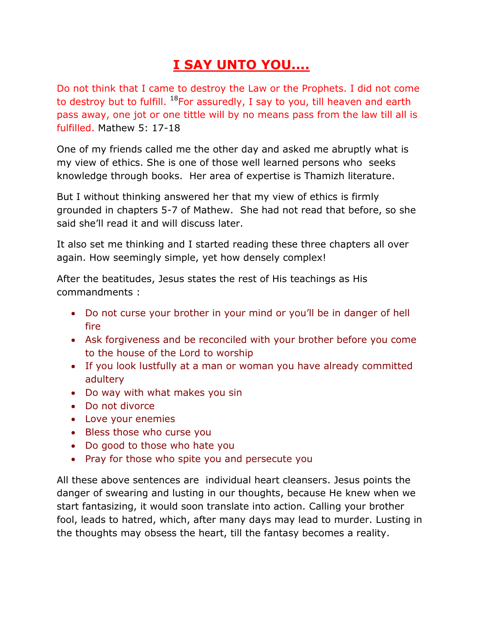## **I SAY UNTO YOU....**

Do not think that I came to destroy the Law or the Prophets. I did not come to destroy but to fulfill.  $^{18}$ For assuredly, I say to you, till heaven and earth pass away, one jot or one tittle will by no means pass from the law till all is fulfilled. Mathew 5: 17-18

One of my friends called me the other day and asked me abruptly what is my view of ethics. She is one of those well learned persons who seeks knowledge through books. Her area of expertise is Thamizh literature.

But I without thinking answered her that my view of ethics is firmly grounded in chapters 5-7 of Mathew. She had not read that before, so she said she'll read it and will discuss later.

It also set me thinking and I started reading these three chapters all over again. How seemingly simple, yet how densely complex!

After the beatitudes, Jesus states the rest of His teachings as His commandments :

- Do not curse your brother in your mind or you'll be in danger of hell fire
- Ask forgiveness and be reconciled with your brother before you come to the house of the Lord to worship
- If you look lustfully at a man or woman you have already committed adultery
- Do way with what makes you sin
- Do not divorce
- Love your enemies
- Bless those who curse you
- Do good to those who hate you
- Pray for those who spite you and persecute you

All these above sentences are individual heart cleansers. Jesus points the danger of swearing and lusting in our thoughts, because He knew when we start fantasizing, it would soon translate into action. Calling your brother fool, leads to hatred, which, after many days may lead to murder. Lusting in the thoughts may obsess the heart, till the fantasy becomes a reality.